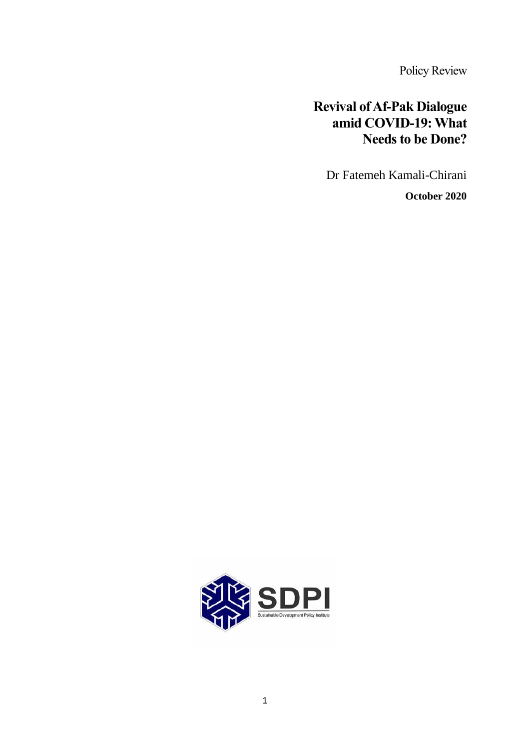Policy Review

# **Revival of Af-Pak Dialogue amid COVID-19: What Needs to be Done?**

Dr Fatemeh Kamali-Chirani

**October 2020**

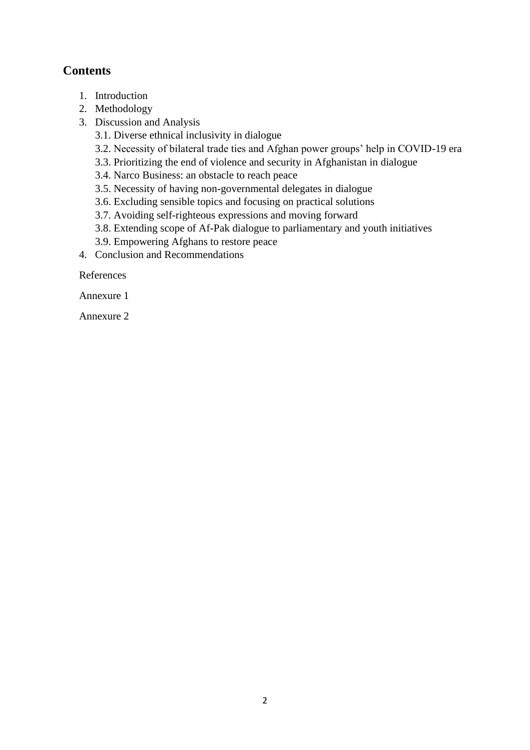## **Contents**

- 1. Introduction
- 2. Methodology
- 3. Discussion and Analysis
	- 3.1. Diverse ethnical inclusivity in dialogue
	- 3.2. Necessity of bilateral trade ties and Afghan power groups' help in COVID-19 era
	- 3.3. Prioritizing the end of violence and security in Afghanistan in dialogue
	- 3.4. Narco Business: an obstacle to reach peace
	- 3.5. Necessity of having non-governmental delegates in dialogue
	- 3.6. Excluding sensible topics and focusing on practical solutions
	- 3.7. Avoiding self-righteous expressions and moving forward
	- 3.8. Extending scope of Af-Pak dialogue to parliamentary and youth initiatives
	- 3.9. Empowering Afghans to restore peace
- 4. Conclusion and Recommendations

References

Annexure 1

Annexure 2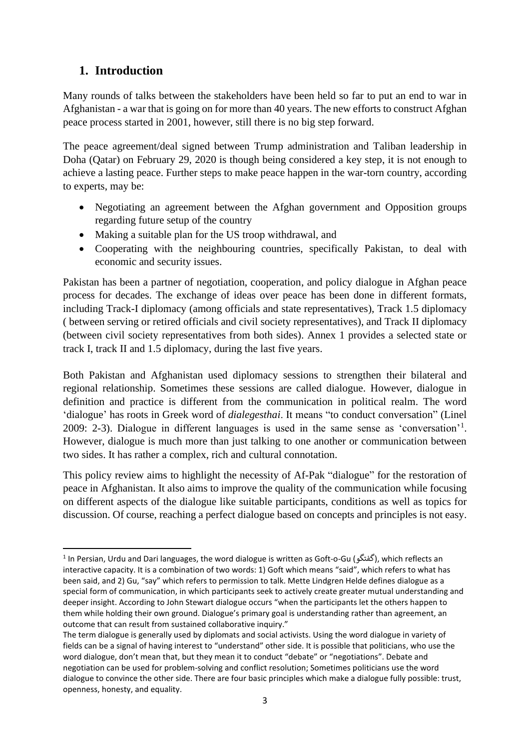## **1. Introduction**

Many rounds of talks between the stakeholders have been held so far to put an end to war in Afghanistan - a war that is going on for more than 40 years. The new efforts to construct Afghan peace process started in 2001, however, still there is no big step forward.

The peace agreement/deal signed between Trump administration and Taliban leadership in Doha (Qatar) on February 29, 2020 is though being considered a key step, it is not enough to achieve a lasting peace. Further steps to make peace happen in the war-torn country, according to experts, may be:

- Negotiating an agreement between the Afghan government and Opposition groups regarding future setup of the country
- Making a suitable plan for the US troop withdrawal, and
- Cooperating with the neighbouring countries, specifically Pakistan, to deal with economic and security issues.

Pakistan has been a partner of negotiation, cooperation, and policy dialogue in Afghan peace process for decades. The exchange of ideas over peace has been done in different formats, including Track-I diplomacy (among officials and state representatives), Track 1.5 diplomacy ( between serving or retired officials and civil society representatives), and Track II diplomacy (between civil society representatives from both sides). Annex 1 provides a selected state or track I, track II and 1.5 diplomacy, during the last five years.

Both Pakistan and Afghanistan used diplomacy sessions to strengthen their bilateral and regional relationship. Sometimes these sessions are called dialogue. However, dialogue in definition and practice is different from the communication in political realm. The word 'dialogue' has roots in Greek word of *dialegesthai*. It means "to conduct conversation" (Linel 2009: 2-3). Dialogue in different languages is used in the same sense as 'conversation'<sup>1</sup>. However, dialogue is much more than just talking to one another or communication between two sides. It has rather a complex, rich and cultural connotation.

This policy review aims to highlight the necessity of Af-Pak "dialogue" for the restoration of peace in Afghanistan. It also aims to improve the quality of the communication while focusing on different aspects of the dialogue like suitable participants, conditions as well as topics for discussion. Of course, reaching a perfect dialogue based on concepts and principles is not easy.

<sup>&</sup>lt;sup>1</sup> In Persian, Urdu and Dari languages, the word dialogue is written as Goft-o-Gu (گفتگو), which reflects an interactive capacity. It is a combination of two words: 1) Goft which means "said", which refers to what has been said, and 2) Gu, "say" which refers to permission to talk. Mette Lindgren Helde defines dialogue as a special form of communication, in which participants seek to actively create greater mutual understanding and deeper insight. According to John Stewart dialogue occurs "when the participants let the others happen to them while holding their own ground. Dialogue's primary goal is understanding rather than agreement, an outcome that can result from sustained collaborative inquiry."

The term dialogue is generally used by diplomats and social activists. Using the word dialogue in variety of fields can be a signal of having interest to "understand" other side. It is possible that politicians, who use the word dialogue, don't mean that, but they mean it to conduct "debate" or "negotiations". Debate and negotiation can be used for problem-solving and conflict resolution; Sometimes politicians use the word dialogue to convince the other side. There are four basic principles which make a dialogue fully possible: trust, openness, honesty, and equality.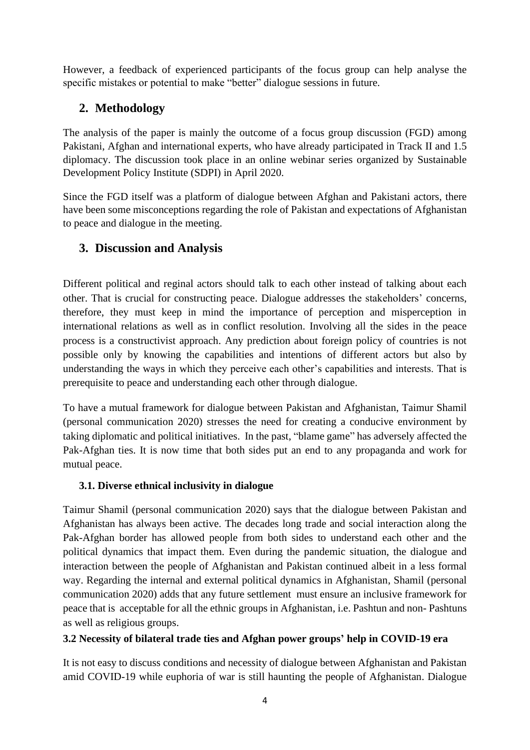However, a feedback of experienced participants of the focus group can help analyse the specific mistakes or potential to make "better" dialogue sessions in future.

## **2. Methodology**

The analysis of the paper is mainly the outcome of a focus group discussion (FGD) among Pakistani, Afghan and international experts, who have already participated in Track II and 1.5 diplomacy. The discussion took place in an online webinar series organized by Sustainable Development Policy Institute (SDPI) in April 2020.

Since the FGD itself was a platform of dialogue between Afghan and Pakistani actors, there have been some misconceptions regarding the role of Pakistan and expectations of Afghanistan to peace and dialogue in the meeting.

## **3. Discussion and Analysis**

Different political and reginal actors should talk to each other instead of talking about each other. That is crucial for constructing peace. Dialogue addresses the stakeholders' concerns, therefore, they must keep in mind the importance of perception and misperception in international relations as well as in conflict resolution. Involving all the sides in the peace process is a constructivist approach. Any prediction about foreign policy of countries is not possible only by knowing the capabilities and intentions of different actors but also by understanding the ways in which they perceive each other's capabilities and interests. That is prerequisite to peace and understanding each other through dialogue.

To have a mutual framework for dialogue between Pakistan and Afghanistan, Taimur Shamil (personal communication 2020) stresses the need for creating a conducive environment by taking diplomatic and political initiatives. In the past, "blame game" has adversely affected the Pak-Afghan ties. It is now time that both sides put an end to any propaganda and work for mutual peace.

### **3.1. Diverse ethnical inclusivity in dialogue**

Taimur Shamil (personal communication 2020) says that the dialogue between Pakistan and Afghanistan has always been active. The decades long trade and social interaction along the Pak-Afghan border has allowed people from both sides to understand each other and the political dynamics that impact them. Even during the pandemic situation, the dialogue and interaction between the people of Afghanistan and Pakistan continued albeit in a less formal way. Regarding the internal and external political dynamics in Afghanistan, Shamil (personal communication 2020) adds that any future settlement must ensure an inclusive framework for peace that is acceptable for all the ethnic groups in Afghanistan, i.e. Pashtun and non- Pashtuns as well as religious groups.

### **3.2 Necessity of bilateral trade ties and Afghan power groups' help in COVID-19 era**

It is not easy to discuss conditions and necessity of dialogue between Afghanistan and Pakistan amid COVID-19 while euphoria of war is still haunting the people of Afghanistan. Dialogue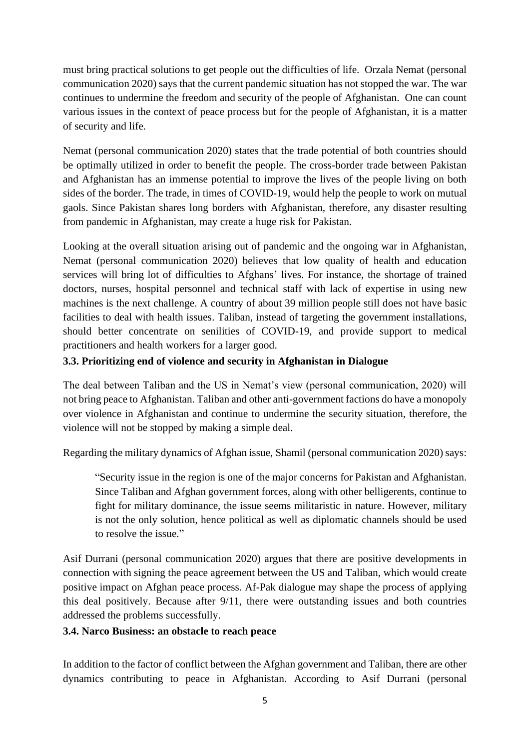must bring practical solutions to get people out the difficulties of life. Orzala Nemat (personal communication 2020) says that the current pandemic situation has not stopped the war. The war continues to undermine the freedom and security of the people of Afghanistan. One can count various issues in the context of peace process but for the people of Afghanistan, it is a matter of security and life.

Nemat (personal communication 2020) states that the trade potential of both countries should be optimally utilized in order to benefit the people. The cross-border trade between Pakistan and Afghanistan has an immense potential to improve the lives of the people living on both sides of the border. The trade, in times of COVID-19, would help the people to work on mutual gaols. Since Pakistan shares long borders with Afghanistan, therefore, any disaster resulting from pandemic in Afghanistan, may create a huge risk for Pakistan.

Looking at the overall situation arising out of pandemic and the ongoing war in Afghanistan, Nemat (personal communication 2020) believes that low quality of health and education services will bring lot of difficulties to Afghans' lives. For instance, the shortage of trained doctors, nurses, hospital personnel and technical staff with lack of expertise in using new machines is the next challenge. A country of about 39 million people still does not have basic facilities to deal with health issues. Taliban, instead of targeting the government installations, should better concentrate on senilities of COVID-19, and provide support to medical practitioners and health workers for a larger good.

### **3.3. Prioritizing end of violence and security in Afghanistan in Dialogue**

The deal between Taliban and the US in Nemat's view (personal communication, 2020) will not bring peace to Afghanistan. Taliban and other anti-government factions do have a monopoly over violence in Afghanistan and continue to undermine the security situation, therefore, the violence will not be stopped by making a simple deal.

Regarding the military dynamics of Afghan issue, Shamil (personal communication 2020) says:

"Security issue in the region is one of the major concerns for Pakistan and Afghanistan. Since Taliban and Afghan government forces, along with other belligerents, continue to fight for military dominance, the issue seems militaristic in nature. However, military is not the only solution, hence political as well as diplomatic channels should be used to resolve the issue."

Asif Durrani (personal communication 2020) argues that there are positive developments in connection with signing the peace agreement between the US and Taliban, which would create positive impact on Afghan peace process. Af-Pak dialogue may shape the process of applying this deal positively. Because after 9/11, there were outstanding issues and both countries addressed the problems successfully.

#### **3.4. Narco Business: an obstacle to reach peace**

In addition to the factor of conflict between the Afghan government and Taliban, there are other dynamics contributing to peace in Afghanistan. According to Asif Durrani (personal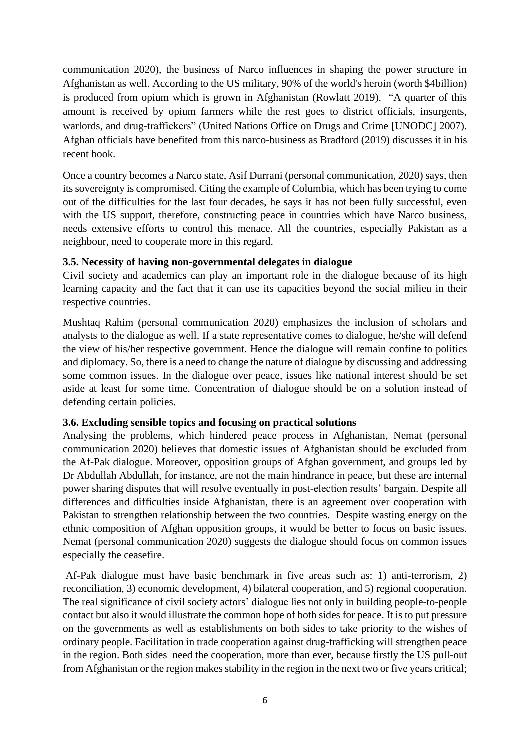communication 2020), the business of Narco influences in shaping the power structure in Afghanistan as well. According to the US military, 90% of the world's heroin (worth \$4billion) is produced from opium which is grown in Afghanistan (Rowlatt 2019). "A quarter of this amount is received by opium farmers while the rest goes to district officials, insurgents, warlords, and drug-traffickers" (United Nations Office on Drugs and Crime [UNODC] 2007). Afghan officials have benefited from this narco-business as Bradford (2019) discusses it in his recent book.

Once a country becomes a Narco state, Asif Durrani (personal communication, 2020) says, then its sovereignty is compromised. Citing the example of Columbia, which has been trying to come out of the difficulties for the last four decades, he says it has not been fully successful, even with the US support, therefore, constructing peace in countries which have Narco business, needs extensive efforts to control this menace. All the countries, especially Pakistan as a neighbour, need to cooperate more in this regard.

#### **3.5. Necessity of having non-governmental delegates in dialogue**

Civil society and academics can play an important role in the dialogue because of its high learning capacity and the fact that it can use its capacities beyond the social milieu in their respective countries.

Mushtaq Rahim (personal communication 2020) emphasizes the inclusion of scholars and analysts to the dialogue as well. If a state representative comes to dialogue, he/she will defend the view of his/her respective government. Hence the dialogue will remain confine to politics and diplomacy. So, there is a need to change the nature of dialogue by discussing and addressing some common issues. In the dialogue over peace, issues like national interest should be set aside at least for some time. Concentration of dialogue should be on a solution instead of defending certain policies.

#### **3.6. Excluding sensible topics and focusing on practical solutions**

Analysing the problems, which hindered peace process in Afghanistan, Nemat (personal communication 2020) believes that domestic issues of Afghanistan should be excluded from the Af-Pak dialogue. Moreover, opposition groups of Afghan government, and groups led by Dr Abdullah Abdullah, for instance, are not the main hindrance in peace, but these are internal power sharing disputes that will resolve eventually in post-election results' bargain. Despite all differences and difficulties inside Afghanistan, there is an agreement over cooperation with Pakistan to strengthen relationship between the two countries. Despite wasting energy on the ethnic composition of Afghan opposition groups, it would be better to focus on basic issues. Nemat (personal communication 2020) suggests the dialogue should focus on common issues especially the ceasefire.

Af-Pak dialogue must have basic benchmark in five areas such as: 1) anti-terrorism, 2) reconciliation, 3) economic development, 4) bilateral cooperation, and 5) regional cooperation. The real significance of civil society actors' dialogue lies not only in building people-to-people contact but also it would illustrate the common hope of both sides for peace. It is to put pressure on the governments as well as establishments on both sides to take priority to the wishes of ordinary people. Facilitation in trade cooperation against drug-trafficking will strengthen peace in the region. Both sides need the cooperation, more than ever, because firstly the US pull-out from Afghanistan or the region makes stability in the region in the next two or five years critical;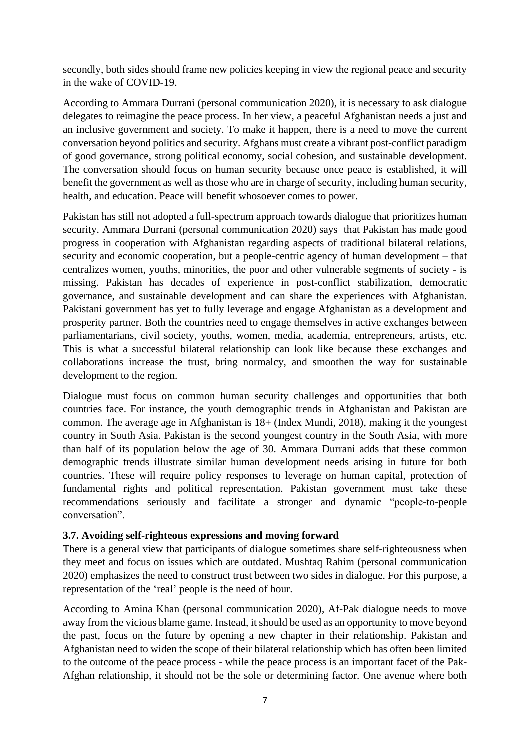secondly, both sides should frame new policies keeping in view the regional peace and security in the wake of COVID-19.

According to Ammara Durrani (personal communication 2020), it is necessary to ask dialogue delegates to reimagine the peace process. In her view, a peaceful Afghanistan needs a just and an inclusive government and society. To make it happen, there is a need to move the current conversation beyond politics and security. Afghans must create a vibrant post-conflict paradigm of good governance, strong political economy, social cohesion, and sustainable development. The conversation should focus on human security because once peace is established, it will benefit the government as well as those who are in charge of security, including human security, health, and education. Peace will benefit whosoever comes to power.

Pakistan has still not adopted a full-spectrum approach towards dialogue that prioritizes human security. Ammara Durrani (personal communication 2020) says that Pakistan has made good progress in cooperation with Afghanistan regarding aspects of traditional bilateral relations, security and economic cooperation, but a people-centric agency of human development – that centralizes women, youths, minorities, the poor and other vulnerable segments of society - is missing. Pakistan has decades of experience in post-conflict stabilization, democratic governance, and sustainable development and can share the experiences with Afghanistan. Pakistani government has yet to fully leverage and engage Afghanistan as a development and prosperity partner. Both the countries need to engage themselves in active exchanges between parliamentarians, civil society, youths, women, media, academia, entrepreneurs, artists, etc. This is what a successful bilateral relationship can look like because these exchanges and collaborations increase the trust, bring normalcy, and smoothen the way for sustainable development to the region.

Dialogue must focus on common human security challenges and opportunities that both countries face. For instance, the youth demographic trends in Afghanistan and Pakistan are common. The average age in Afghanistan is 18+ (Index Mundi, 2018), making it the youngest country in South Asia. Pakistan is the second youngest country in the South Asia, with more than half of its population below the age of 30. Ammara Durrani adds that these common demographic trends illustrate similar human development needs arising in future for both countries. These will require policy responses to leverage on human capital, protection of fundamental rights and political representation. Pakistan government must take these recommendations seriously and facilitate a stronger and dynamic "people-to-people conversation".

#### **3.7. Avoiding self-righteous expressions and moving forward**

There is a general view that participants of dialogue sometimes share self-righteousness when they meet and focus on issues which are outdated. Mushtaq Rahim (personal communication 2020) emphasizes the need to construct trust between two sides in dialogue. For this purpose, a representation of the 'real' people is the need of hour.

According to Amina Khan (personal communication 2020), Af-Pak dialogue needs to move away from the vicious blame game. Instead, it should be used as an opportunity to move beyond the past, focus on the future by opening a new chapter in their relationship. Pakistan and Afghanistan need to widen the scope of their bilateral relationship which has often been limited to the outcome of the peace process - while the peace process is an important facet of the Pak-Afghan relationship, it should not be the sole or determining factor. One avenue where both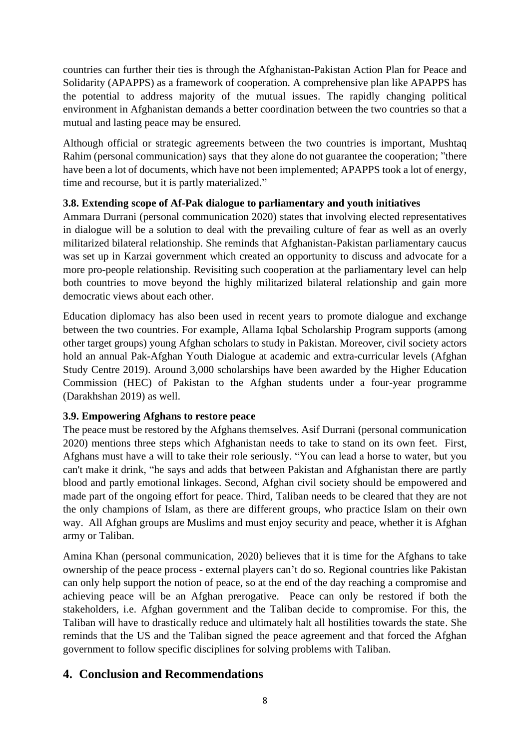countries can further their ties is through the Afghanistan-Pakistan Action Plan for Peace and Solidarity (APAPPS) as a framework of cooperation. A comprehensive plan like APAPPS has the potential to address majority of the mutual issues. The rapidly changing political environment in Afghanistan demands a better coordination between the two countries so that a mutual and lasting peace may be ensured.

Although official or strategic agreements between the two countries is important, Mushtaq Rahim (personal communication) says that they alone do not guarantee the cooperation; "there have been a lot of documents, which have not been implemented; APAPPS took a lot of energy, time and recourse, but it is partly materialized."

#### **3.8. Extending scope of Af-Pak dialogue to parliamentary and youth initiatives**

Ammara Durrani (personal communication 2020) states that involving elected representatives in dialogue will be a solution to deal with the prevailing culture of fear as well as an overly militarized bilateral relationship. She reminds that Afghanistan-Pakistan parliamentary caucus was set up in Karzai government which created an opportunity to discuss and advocate for a more pro-people relationship. Revisiting such cooperation at the parliamentary level can help both countries to move beyond the highly militarized bilateral relationship and gain more democratic views about each other.

Education diplomacy has also been used in recent years to promote dialogue and exchange between the two countries. For example, Allama Iqbal Scholarship Program supports (among other target groups) young Afghan scholars to study in Pakistan. Moreover, civil society actors hold an annual Pak-Afghan Youth Dialogue at academic and extra-curricular levels (Afghan Study Centre 2019). Around 3,000 scholarships have been awarded by the Higher Education Commission (HEC) of Pakistan to the Afghan students under a four-year programme (Darakhshan 2019) as well.

#### **3.9. Empowering Afghans to restore peace**

The peace must be restored by the Afghans themselves. Asif Durrani (personal communication 2020) mentions three steps which Afghanistan needs to take to stand on its own feet. First, Afghans must have a will to take their role seriously. "You can lead a horse to water, but you can't make it drink, "he says and adds that between Pakistan and Afghanistan there are partly blood and partly emotional linkages. Second, Afghan civil society should be empowered and made part of the ongoing effort for peace. Third, Taliban needs to be cleared that they are not the only champions of Islam, as there are different groups, who practice Islam on their own way. All Afghan groups are Muslims and must enjoy security and peace, whether it is Afghan army or Taliban.

Amina Khan (personal communication, 2020) believes that it is time for the Afghans to take ownership of the peace process - external players can't do so. Regional countries like Pakistan can only help support the notion of peace, so at the end of the day reaching a compromise and achieving peace will be an Afghan prerogative. Peace can only be restored if both the stakeholders, i.e. Afghan government and the Taliban decide to compromise. For this, the Taliban will have to drastically reduce and ultimately halt all hostilities towards the state. She reminds that the US and the Taliban signed the peace agreement and that forced the Afghan government to follow specific disciplines for solving problems with Taliban.

### **4. Conclusion and Recommendations**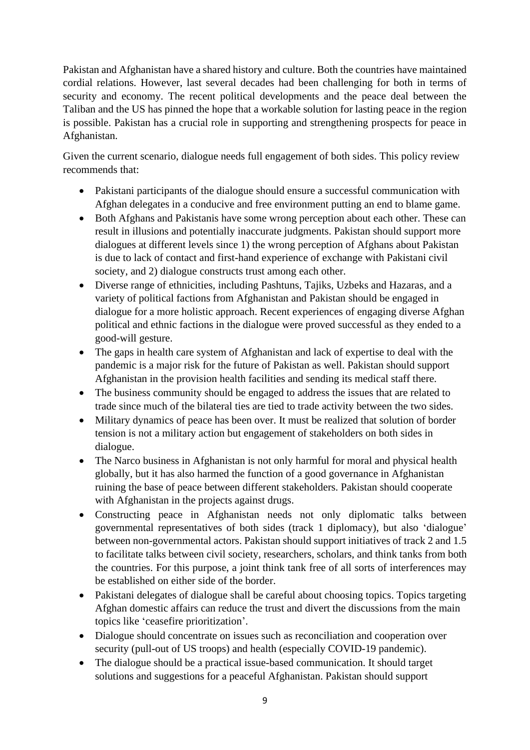Pakistan and Afghanistan have a shared history and culture. Both the countries have maintained cordial relations. However, last several decades had been challenging for both in terms of security and economy. The recent political developments and the peace deal between the Taliban and the US has pinned the hope that a workable solution for lasting peace in the region is possible. Pakistan has a crucial role in supporting and strengthening prospects for peace in Afghanistan.

Given the current scenario, dialogue needs full engagement of both sides. This policy review recommends that:

- Pakistani participants of the dialogue should ensure a successful communication with Afghan delegates in a conducive and free environment putting an end to blame game.
- Both Afghans and Pakistanis have some wrong perception about each other. These can result in illusions and potentially inaccurate judgments. Pakistan should support more dialogues at different levels since 1) the wrong perception of Afghans about Pakistan is due to lack of contact and first-hand experience of exchange with Pakistani civil society, and 2) dialogue constructs trust among each other.
- Diverse range of ethnicities, including Pashtuns, Tajiks, Uzbeks and Hazaras, and a variety of political factions from Afghanistan and Pakistan should be engaged in dialogue for a more holistic approach. Recent experiences of engaging diverse Afghan political and ethnic factions in the dialogue were proved successful as they ended to a good-will gesture.
- The gaps in health care system of Afghanistan and lack of expertise to deal with the pandemic is a major risk for the future of Pakistan as well. Pakistan should support Afghanistan in the provision health facilities and sending its medical staff there.
- The business community should be engaged to address the issues that are related to trade since much of the bilateral ties are tied to trade activity between the two sides.
- Military dynamics of peace has been over. It must be realized that solution of border tension is not a military action but engagement of stakeholders on both sides in dialogue.
- The Narco business in Afghanistan is not only harmful for moral and physical health globally, but it has also harmed the function of a good governance in Afghanistan ruining the base of peace between different stakeholders. Pakistan should cooperate with Afghanistan in the projects against drugs.
- Constructing peace in Afghanistan needs not only diplomatic talks between governmental representatives of both sides (track 1 diplomacy), but also 'dialogue' between non-governmental actors. Pakistan should support initiatives of track 2 and 1.5 to facilitate talks between civil society, researchers, scholars, and think tanks from both the countries. For this purpose, a joint think tank free of all sorts of interferences may be established on either side of the border.
- Pakistani delegates of dialogue shall be careful about choosing topics. Topics targeting Afghan domestic affairs can reduce the trust and divert the discussions from the main topics like 'ceasefire prioritization'.
- Dialogue should concentrate on issues such as reconciliation and cooperation over security (pull-out of US troops) and health (especially COVID-19 pandemic).
- The dialogue should be a practical issue-based communication. It should target solutions and suggestions for a peaceful Afghanistan. Pakistan should support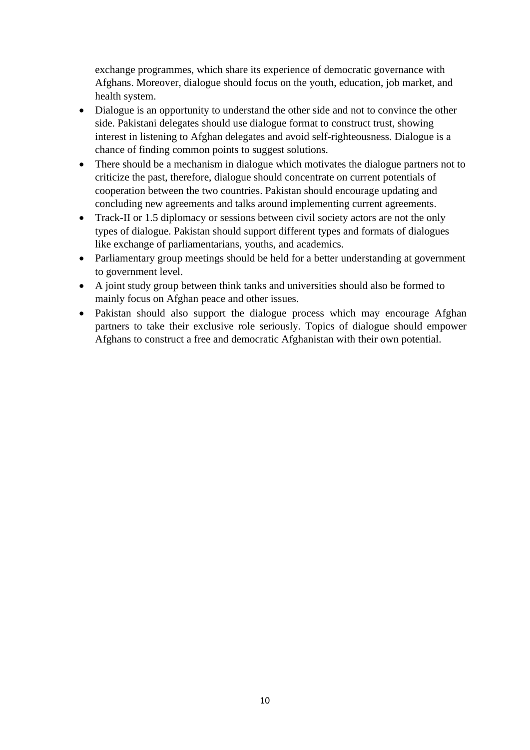exchange programmes, which share its experience of democratic governance with Afghans. Moreover, dialogue should focus on the youth, education, job market, and health system.

- Dialogue is an opportunity to understand the other side and not to convince the other side. Pakistani delegates should use dialogue format to construct trust, showing interest in listening to Afghan delegates and avoid self-righteousness. Dialogue is a chance of finding common points to suggest solutions.
- There should be a mechanism in dialogue which motivates the dialogue partners not to criticize the past, therefore, dialogue should concentrate on current potentials of cooperation between the two countries. Pakistan should encourage updating and concluding new agreements and talks around implementing current agreements.
- Track-II or 1.5 diplomacy or sessions between civil society actors are not the only types of dialogue. Pakistan should support different types and formats of dialogues like exchange of parliamentarians, youths, and academics.
- Parliamentary group meetings should be held for a better understanding at government to government level.
- A joint study group between think tanks and universities should also be formed to mainly focus on Afghan peace and other issues.
- Pakistan should also support the dialogue process which may encourage Afghan partners to take their exclusive role seriously. Topics of dialogue should empower Afghans to construct a free and democratic Afghanistan with their own potential.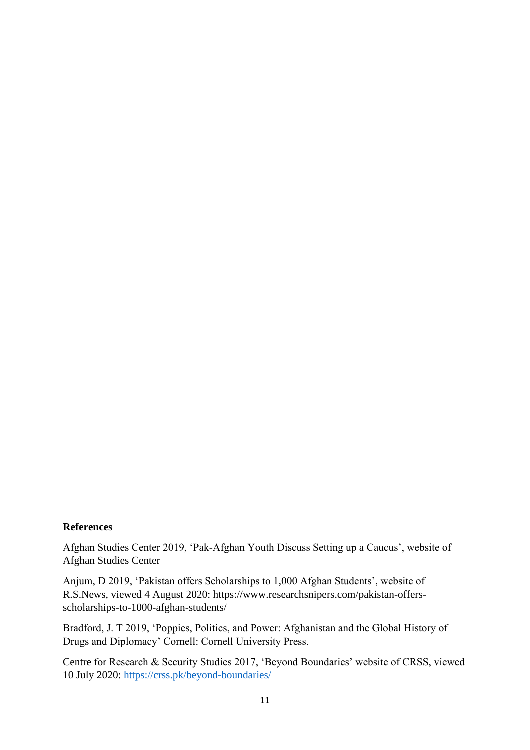#### **References**

Afghan Studies Center 2019, 'Pak-Afghan Youth Discuss Setting up a Caucus', website of Afghan Studies Center

Anjum, D 2019, 'Pakistan offers Scholarships to 1,000 Afghan Students', website of R.S.News, viewed 4 August 2020: https://www.researchsnipers.com/pakistan-offersscholarships-to-1000-afghan-students/

Bradford, J. T 2019, 'Poppies, Politics, and Power: Afghanistan and the Global History of Drugs and Diplomacy' Cornell: Cornell University Press.

Centre for Research & Security Studies 2017, 'Beyond Boundaries' website of CRSS, viewed 10 July 2020:<https://crss.pk/beyond-boundaries/>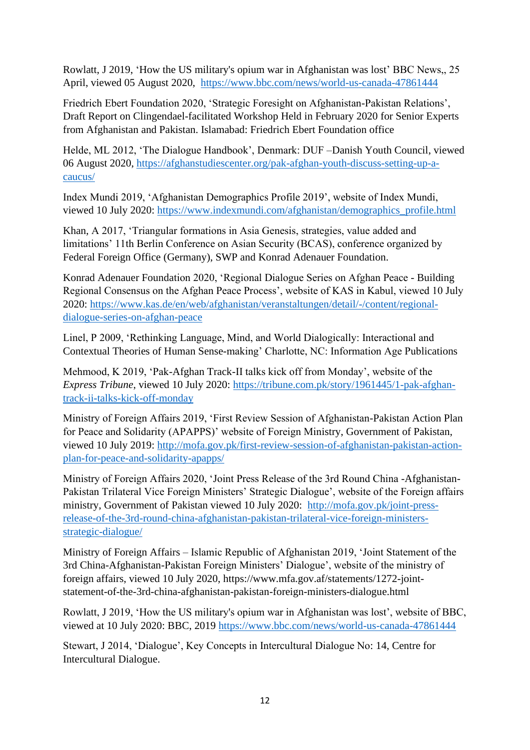Rowlatt, J 2019, 'How the US military's opium war in Afghanistan was lost' BBC News,, 25 April, viewed 05 August 2020, <https://www.bbc.com/news/world-us-canada-47861444>

Friedrich Ebert Foundation 2020, 'Strategic Foresight on Afghanistan-Pakistan Relations', Draft Report on Clingendael-facilitated Workshop Held in February 2020 for Senior Experts from Afghanistan and Pakistan. Islamabad: Friedrich Ebert Foundation office

Helde, ML 2012, 'The Dialogue Handbook', Denmark: DUF –Danish Youth Council, viewed 06 August 2020, [https://afghanstudiescenter.org/pak-afghan-youth-discuss-setting-up-a](https://afghanstudiescenter.org/pak-afghan-youth-discuss-setting-up-a-caucus/)[caucus/](https://afghanstudiescenter.org/pak-afghan-youth-discuss-setting-up-a-caucus/)

Index Mundi 2019, 'Afghanistan Demographics Profile 2019', website of Index Mundi, viewed 10 July 2020: [https://www.indexmundi.com/afghanistan/demographics\\_profile.html](https://www.indexmundi.com/afghanistan/demographics_profile.html)

Khan, A 2017, 'Triangular formations in Asia Genesis, strategies, value added and limitations' 11th Berlin Conference on Asian Security (BCAS), conference organized by Federal Foreign Office (Germany), SWP and Konrad Adenauer Foundation.

Konrad Adenauer Foundation 2020, 'Regional Dialogue Series on Afghan Peace - Building Regional Consensus on the Afghan Peace Process', website of KAS in Kabul, viewed 10 July 2020: [https://www.kas.de/en/web/afghanistan/veranstaltungen/detail/-/content/regional](https://www.kas.de/en/web/afghanistan/veranstaltungen/detail/-/content/regional-dialogue-series-on-afghan-peace)[dialogue-series-on-afghan-peace](https://www.kas.de/en/web/afghanistan/veranstaltungen/detail/-/content/regional-dialogue-series-on-afghan-peace)

Linel, P 2009, 'Rethinking Language, Mind, and World Dialogically: Interactional and Contextual Theories of Human Sense-making' Charlotte, NC: Information Age Publications

Mehmood, K 2019, 'Pak-Afghan Track-II talks kick off from Monday', website of the *Express Tribune*, viewed 10 July 2020: [https://tribune.com.pk/story/1961445/1-pak-afghan](https://tribune.com.pk/story/1961445/1-pak-afghan-track-ii-talks-kick-off-monday)[track-ii-talks-kick-off-monday](https://tribune.com.pk/story/1961445/1-pak-afghan-track-ii-talks-kick-off-monday)

Ministry of Foreign Affairs 2019, 'First Review Session of Afghanistan-Pakistan Action Plan for Peace and Solidarity (APAPPS)' website of Foreign Ministry, Government of Pakistan, viewed 10 July 2019: [http://mofa.gov.pk/first-review-session-of-afghanistan-pakistan-action](http://mofa.gov.pk/first-review-session-of-afghanistan-pakistan-action-plan-for-peace-and-solidarity-apapps/)[plan-for-peace-and-solidarity-apapps/](http://mofa.gov.pk/first-review-session-of-afghanistan-pakistan-action-plan-for-peace-and-solidarity-apapps/)

Ministry of Foreign Affairs 2020, 'Joint Press Release of the 3rd Round China -Afghanistan-Pakistan Trilateral Vice Foreign Ministers' Strategic Dialogue', website of the Foreign affairs ministry, Government of Pakistan viewed 10 July 2020: [http://mofa.gov.pk/joint-press](http://mofa.gov.pk/joint-press-release-of-the-3rd-round-china-afghanistan-pakistan-trilateral-vice-foreign-ministers-strategic-dialogue/)[release-of-the-3rd-round-china-afghanistan-pakistan-trilateral-vice-foreign-ministers](http://mofa.gov.pk/joint-press-release-of-the-3rd-round-china-afghanistan-pakistan-trilateral-vice-foreign-ministers-strategic-dialogue/)[strategic-dialogue/](http://mofa.gov.pk/joint-press-release-of-the-3rd-round-china-afghanistan-pakistan-trilateral-vice-foreign-ministers-strategic-dialogue/)

Ministry of Foreign Affairs – Islamic Republic of Afghanistan 2019, 'Joint Statement of the 3rd China-Afghanistan-Pakistan Foreign Ministers' Dialogue', website of the ministry of foreign affairs, viewed 10 July 2020, https://www.mfa.gov.af/statements/1272-jointstatement-of-the-3rd-china-afghanistan-pakistan-foreign-ministers-dialogue.html

Rowlatt, J 2019, 'How the US military's opium war in Afghanistan was lost', website of BBC, viewed at 10 July 2020: BBC, 2019<https://www.bbc.com/news/world-us-canada-47861444>

Stewart, J 2014, 'Dialogue', Key Concepts in Intercultural Dialogue No: 14, Centre for Intercultural Dialogue.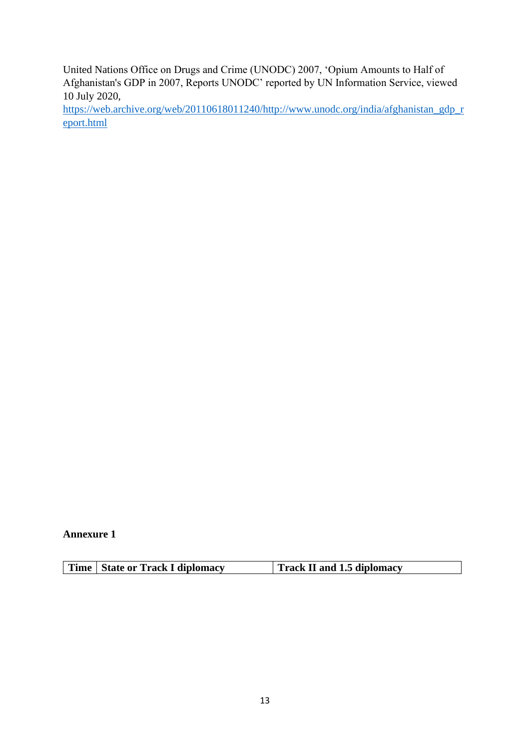United Nations Office on Drugs and Crime (UNODC) 2007, 'Opium Amounts to Half of Afghanistan's GDP in 2007, Reports UNODC' reported by UN Information Service, viewed 10 July 2020,

[https://web.archive.org/web/20110618011240/http://www.unodc.org/india/afghanistan\\_gdp\\_r](https://web.archive.org/web/20110618011240/http:/www.unodc.org/india/afghanistan_gdp_report.html) [eport.html](https://web.archive.org/web/20110618011240/http:/www.unodc.org/india/afghanistan_gdp_report.html)

**Annexure 1**

| Time   State or Track I diplomacy | Track II and 1.5 diplomacy |
|-----------------------------------|----------------------------|
|                                   |                            |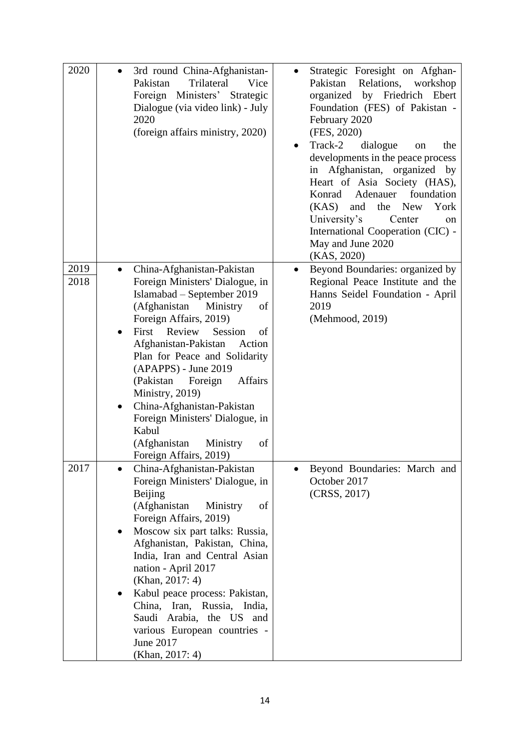| 2020         | 3rd round China-Afghanistan-<br>$\bullet$<br>Pakistan<br>Trilateral<br>Vice<br>Foreign Ministers' Strategic<br>Dialogue (via video link) - July<br>2020<br>(foreign affairs ministry, 2020)                                                                                                                                                                                                                                                                                                                | Strategic Foresight on Afghan-<br>Pakistan<br>Relations,<br>workshop<br>by Friedrich<br>organized<br>Ebert<br>Foundation (FES) of Pakistan -<br>February 2020<br>(FES, 2020)<br>Track-2<br>dialogue<br>the<br>on<br>$\bullet$<br>developments in the peace process<br>Afghanistan, organized by<br>in<br>Heart of Asia Society (HAS),<br>Adenauer<br>foundation<br>Konrad<br>(KAS)<br>and<br>the<br><b>New</b><br>York<br>University's<br>Center<br>on<br>International Cooperation (CIC) -<br>May and June 2020<br>(KAS, 2020) |
|--------------|------------------------------------------------------------------------------------------------------------------------------------------------------------------------------------------------------------------------------------------------------------------------------------------------------------------------------------------------------------------------------------------------------------------------------------------------------------------------------------------------------------|---------------------------------------------------------------------------------------------------------------------------------------------------------------------------------------------------------------------------------------------------------------------------------------------------------------------------------------------------------------------------------------------------------------------------------------------------------------------------------------------------------------------------------|
| 2019<br>2018 | China-Afghanistan-Pakistan<br>Foreign Ministers' Dialogue, in<br>Islamabad - September 2019<br>(Afghanistan<br>Ministry<br>of<br>Foreign Affairs, 2019)<br>First Review<br>Session<br>of<br>$\bullet$<br>Afghanistan-Pakistan<br>Action<br>Plan for Peace and Solidarity<br>(APAPPS) - June 2019<br>(Pakistan)<br>Foreign<br>Affairs<br>Ministry, 2019)<br>China-Afghanistan-Pakistan<br>$\bullet$<br>Foreign Ministers' Dialogue, in<br>Kabul<br>(Afghanistan<br>Ministry<br>of<br>Foreign Affairs, 2019) | Beyond Boundaries: organized by<br>Regional Peace Institute and the<br>Hanns Seidel Foundation - April<br>2019<br>(Mehmood, 2019)                                                                                                                                                                                                                                                                                                                                                                                               |
| 2017         | China-Afghanistan-Pakistan<br>Foreign Ministers' Dialogue, in<br>Beijing<br>(Afghanistan<br>of<br>Ministry<br>Foreign Affairs, 2019)<br>Moscow six part talks: Russia,<br>$\bullet$<br>Afghanistan, Pakistan, China,<br>India, Iran and Central Asian<br>nation - April 2017<br>(Khan, 2017: 4)<br>Kabul peace process: Pakistan,<br>$\bullet$<br>China, Iran, Russia, India,<br>Saudi Arabia, the US and<br>various European countries -<br>June 2017<br>(Khan, 2017: 4)                                  | Beyond Boundaries: March and<br>October 2017<br>(CRSS, 2017)                                                                                                                                                                                                                                                                                                                                                                                                                                                                    |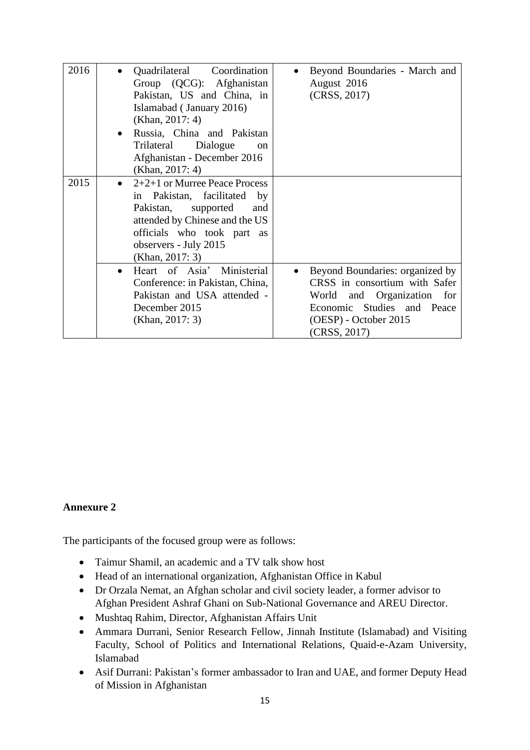| 2016 |           | Quadrilateral Coordination<br>Group (QCG): Afghanistan<br>Pakistan, US and China, in<br>Islamabad (January 2016)<br>(Khan, $2017:4$ )                                                                          | Beyond Boundaries - March and<br>August 2016<br>(CRSS, 2017)                                                                                                                       |
|------|-----------|----------------------------------------------------------------------------------------------------------------------------------------------------------------------------------------------------------------|------------------------------------------------------------------------------------------------------------------------------------------------------------------------------------|
|      | $\bullet$ | Russia, China and Pakistan<br>Dialogue<br>Trilateral<br><sub>on</sub><br>Afghanistan - December 2016<br>(Khan, 2017: 4)                                                                                        |                                                                                                                                                                                    |
| 2015 | $\bullet$ | $2+2+1$ or Murree Peace Process<br>in Pakistan, facilitated<br>by<br>Pakistan,<br>supported<br>and<br>attended by Chinese and the US<br>officials who took part as<br>observers - July 2015<br>(Khan, 2017: 3) |                                                                                                                                                                                    |
|      | $\bullet$ | Heart of Asia' Ministerial<br>Conference: in Pakistan, China,<br>Pakistan and USA attended -<br>December 2015<br>(Khan, 2017: 3)                                                                               | Beyond Boundaries: organized by<br>$\bullet$<br>CRSS in consortium with Safer<br>World and Organization for<br>Economic Studies and Peace<br>(OESP) - October 2015<br>(CRSS, 2017) |

#### **Annexure 2**

The participants of the focused group were as follows:

- Taimur Shamil, an academic and a TV talk show host
- Head of an international organization, Afghanistan Office in Kabul
- Dr Orzala Nemat, an Afghan scholar and civil society leader, a former advisor to Afghan President Ashraf Ghani on Sub-National Governance and AREU Director.
- Mushtaq Rahim, Director, Afghanistan Affairs Unit
- Ammara Durrani, Senior Research Fellow, Jinnah Institute (Islamabad) and Visiting Faculty, School of Politics and International Relations, Quaid-e-Azam University, Islamabad
- Asif Durrani: Pakistan's former ambassador to Iran and UAE, and former Deputy Head of Mission in Afghanistan